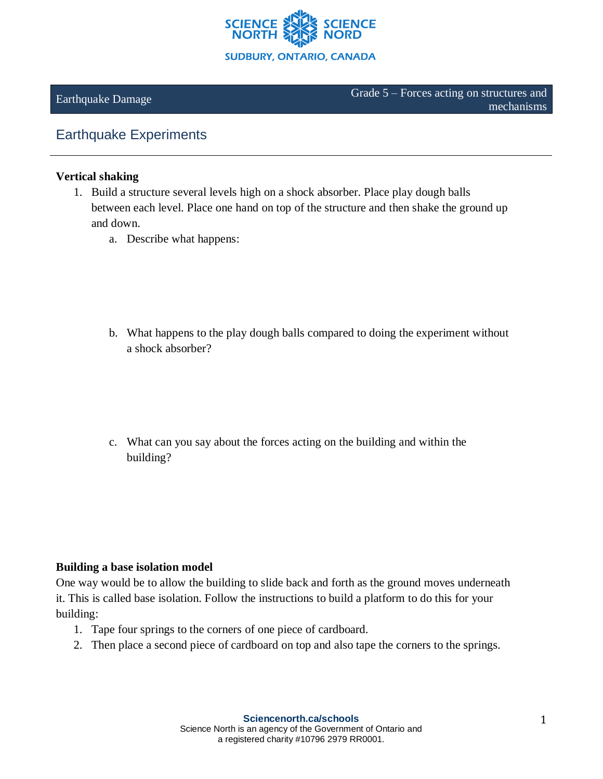

# Earthquake Experiments

### **Vertical shaking**

- 1. Build a structure several levels high on a shock absorber. Place play dough balls between each level. Place one hand on top of the structure and then shake the ground up and down.
	- a. Describe what happens:

b. What happens to the play dough balls compared to doing the experiment without a shock absorber?

c. What can you say about the forces acting on the building and within the building?

#### **Building a base isolation model**

One way would be to allow the building to slide back and forth as the ground moves underneath it. This is called base isolation. Follow the instructions to build a platform to do this for your building:

- 1. Tape four springs to the corners of one piece of cardboard.
- 2. Then place a second piece of cardboard on top and also tape the corners to the springs.